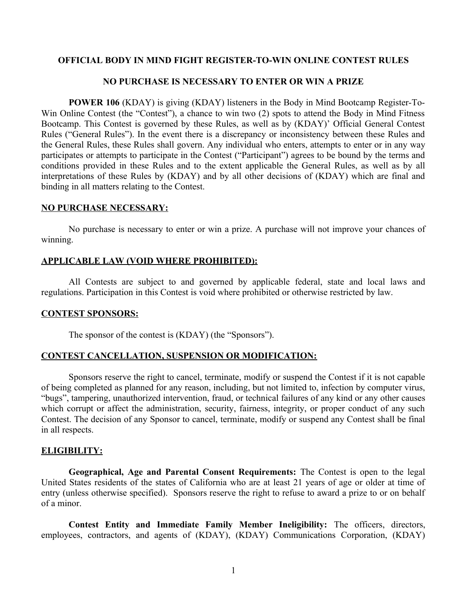# **OFFICIAL BODY IN MIND FIGHT REGISTER-TO-WIN ONLINE CONTEST RULES**

## **NO PURCHASE IS NECESSARY TO ENTER OR WIN A PRIZE**

**POWER 106** (KDAY) is giving (KDAY) listeners in the Body in Mind Bootcamp Register-To-Win Online Contest (the "Contest"), a chance to win two (2) spots to attend the Body in Mind Fitness Bootcamp. This Contest is governed by these Rules, as well as by (KDAY)' Official General Contest Rules ("General Rules"). In the event there is a discrepancy or inconsistency between these Rules and the General Rules, these Rules shall govern. Any individual who enters, attempts to enter or in any way participates or attempts to participate in the Contest ("Participant") agrees to be bound by the terms and conditions provided in these Rules and to the extent applicable the General Rules, as well as by all interpretations of these Rules by (KDAY) and by all other decisions of (KDAY) which are final and binding in all matters relating to the Contest.

#### **NO PURCHASE NECESSARY:**

No purchase is necessary to enter or win a prize. A purchase will not improve your chances of winning.

### **APPLICABLE LAW (VOID WHERE PROHIBITED):**

All Contests are subject to and governed by applicable federal, state and local laws and regulations. Participation in this Contest is void where prohibited or otherwise restricted by law.

#### **CONTEST SPONSORS:**

The sponsor of the contest is (KDAY) (the "Sponsors").

### **CONTEST CANCELLATION, SUSPENSION OR MODIFICATION:**

Sponsors reserve the right to cancel, terminate, modify or suspend the Contest if it is not capable of being completed as planned for any reason, including, but not limited to, infection by computer virus, "bugs", tampering, unauthorized intervention, fraud, or technical failures of any kind or any other causes which corrupt or affect the administration, security, fairness, integrity, or proper conduct of any such Contest. The decision of any Sponsor to cancel, terminate, modify or suspend any Contest shall be final in all respects.

### **ELIGIBILITY:**

**Geographical, Age and Parental Consent Requirements:** The Contest is open to the legal United States residents of the states of California who are at least 21 years of age or older at time of entry (unless otherwise specified). Sponsors reserve the right to refuse to award a prize to or on behalf of a minor.

**Contest Entity and Immediate Family Member Ineligibility:** The officers, directors, employees, contractors, and agents of (KDAY), (KDAY) Communications Corporation, (KDAY)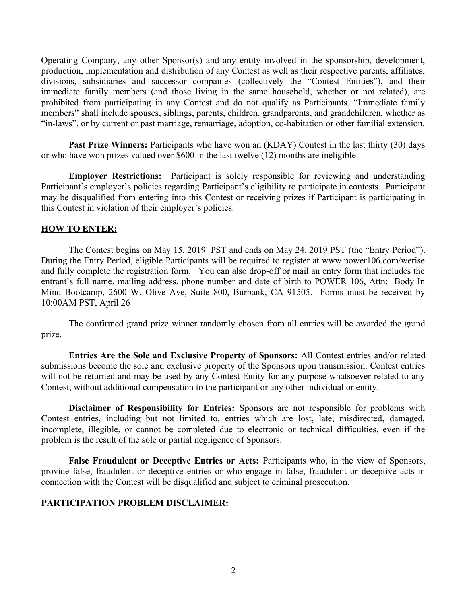Operating Company, any other Sponsor(s) and any entity involved in the sponsorship, development, production, implementation and distribution of any Contest as well as their respective parents, affiliates, divisions, subsidiaries and successor companies (collectively the "Contest Entities"), and their immediate family members (and those living in the same household, whether or not related), are prohibited from participating in any Contest and do not qualify as Participants. "Immediate family members" shall include spouses, siblings, parents, children, grandparents, and grandchildren, whether as "in-laws", or by current or past marriage, remarriage, adoption, co-habitation or other familial extension.

**Past Prize Winners:** Participants who have won an (KDAY) Contest in the last thirty (30) days or who have won prizes valued over \$600 in the last twelve (12) months are ineligible.

**Employer Restrictions:** Participant is solely responsible for reviewing and understanding Participant's employer's policies regarding Participant's eligibility to participate in contests. Participant may be disqualified from entering into this Contest or receiving prizes if Participant is participating in this Contest in violation of their employer's policies.

### **HOW TO ENTER:**

The Contest begins on May 15, 2019 PST and ends on May 24, 2019 PST (the "Entry Period"). During the Entry Period, eligible Participants will be required to register at www.power106.com/werise and fully complete the registration form. You can also drop-off or mail an entry form that includes the entrant's full name, mailing address, phone number and date of birth to POWER 106, Attn: Body In Mind Bootcamp, 2600 W. Olive Ave, Suite 800, Burbank, CA 91505. Forms must be received by 10:00AM PST, April 26

The confirmed grand prize winner randomly chosen from all entries will be awarded the grand prize.

**Entries Are the Sole and Exclusive Property of Sponsors:** All Contest entries and/or related submissions become the sole and exclusive property of the Sponsors upon transmission. Contest entries will not be returned and may be used by any Contest Entity for any purpose whatsoever related to any Contest, without additional compensation to the participant or any other individual or entity.

**Disclaimer of Responsibility for Entries:** Sponsors are not responsible for problems with Contest entries, including but not limited to, entries which are lost, late, misdirected, damaged, incomplete, illegible, or cannot be completed due to electronic or technical difficulties, even if the problem is the result of the sole or partial negligence of Sponsors.

**False Fraudulent or Deceptive Entries or Acts:** Participants who, in the view of Sponsors, provide false, fraudulent or deceptive entries or who engage in false, fraudulent or deceptive acts in connection with the Contest will be disqualified and subject to criminal prosecution.

#### **PARTICIPATION PROBLEM DISCLAIMER:**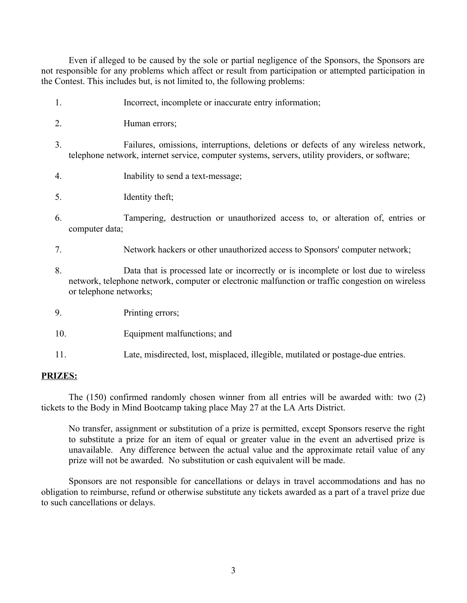Even if alleged to be caused by the sole or partial negligence of the Sponsors, the Sponsors are not responsible for any problems which affect or result from participation or attempted participation in the Contest. This includes but, is not limited to, the following problems:

- 1. Incorrect, incomplete or inaccurate entry information;
- 2. Human errors;
- 3. Failures, omissions, interruptions, deletions or defects of any wireless network, telephone network, internet service, computer systems, servers, utility providers, or software;
- 4. Inability to send a text-message;
- 5. Identity theft;
- 6. Tampering, destruction or unauthorized access to, or alteration of, entries or computer data;
- 7. Network hackers or other unauthorized access to Sponsors' computer network;
- 8. Data that is processed late or incorrectly or is incomplete or lost due to wireless network, telephone network, computer or electronic malfunction or traffic congestion on wireless or telephone networks;
- 9. Printing errors;
- 10. Equipment malfunctions; and
- 11. Late, misdirected, lost, misplaced, illegible, mutilated or postage-due entries.

#### **PRIZES:**

The (150) confirmed randomly chosen winner from all entries will be awarded with: two (2) tickets to the Body in Mind Bootcamp taking place May 27 at the LA Arts District.

No transfer, assignment or substitution of a prize is permitted, except Sponsors reserve the right to substitute a prize for an item of equal or greater value in the event an advertised prize is unavailable. Any difference between the actual value and the approximate retail value of any prize will not be awarded. No substitution or cash equivalent will be made.

Sponsors are not responsible for cancellations or delays in travel accommodations and has no obligation to reimburse, refund or otherwise substitute any tickets awarded as a part of a travel prize due to such cancellations or delays.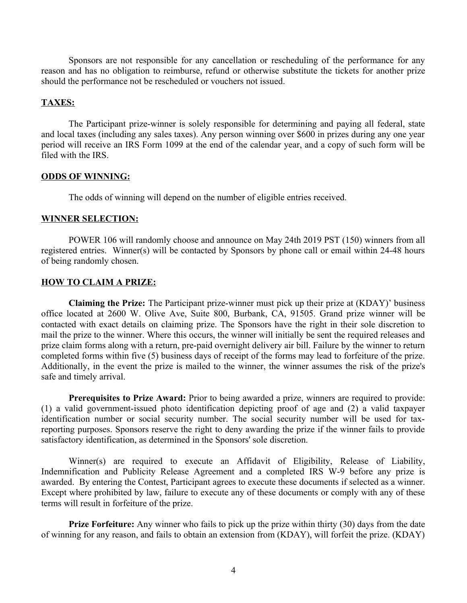Sponsors are not responsible for any cancellation or rescheduling of the performance for any reason and has no obligation to reimburse, refund or otherwise substitute the tickets for another prize should the performance not be rescheduled or vouchers not issued.

#### **TAXES:**

The Participant prize-winner is solely responsible for determining and paying all federal, state and local taxes (including any sales taxes). Any person winning over \$600 in prizes during any one year period will receive an IRS Form 1099 at the end of the calendar year, and a copy of such form will be filed with the IRS.

### **ODDS OF WINNING:**

The odds of winning will depend on the number of eligible entries received.

## **WINNER SELECTION:**

POWER 106 will randomly choose and announce on May 24th 2019 PST (150) winners from all registered entries. Winner(s) will be contacted by Sponsors by phone call or email within 24-48 hours of being randomly chosen.

#### **HOW TO CLAIM A PRIZE:**

**Claiming the Prize:** The Participant prize-winner must pick up their prize at (KDAY)' business office located at 2600 W. Olive Ave, Suite 800, Burbank, CA, 91505. Grand prize winner will be contacted with exact details on claiming prize. The Sponsors have the right in their sole discretion to mail the prize to the winner. Where this occurs, the winner will initially be sent the required releases and prize claim forms along with a return, pre-paid overnight delivery air bill. Failure by the winner to return completed forms within five (5) business days of receipt of the forms may lead to forfeiture of the prize. Additionally, in the event the prize is mailed to the winner, the winner assumes the risk of the prize's safe and timely arrival.

**Prerequisites to Prize Award:** Prior to being awarded a prize, winners are required to provide: (1) a valid government-issued photo identification depicting proof of age and (2) a valid taxpayer identification number or social security number. The social security number will be used for taxreporting purposes. Sponsors reserve the right to deny awarding the prize if the winner fails to provide satisfactory identification, as determined in the Sponsors' sole discretion.

Winner(s) are required to execute an Affidavit of Eligibility, Release of Liability, Indemnification and Publicity Release Agreement and a completed IRS W-9 before any prize is awarded. By entering the Contest, Participant agrees to execute these documents if selected as a winner. Except where prohibited by law, failure to execute any of these documents or comply with any of these terms will result in forfeiture of the prize.

**Prize Forfeiture:** Any winner who fails to pick up the prize within thirty (30) days from the date of winning for any reason, and fails to obtain an extension from (KDAY), will forfeit the prize. (KDAY)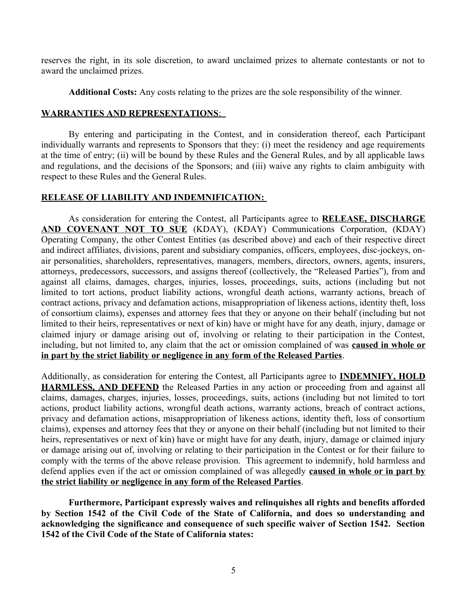reserves the right, in its sole discretion, to award unclaimed prizes to alternate contestants or not to award the unclaimed prizes.

**Additional Costs:** Any costs relating to the prizes are the sole responsibility of the winner.

## **WARRANTIES AND REPRESENTATIONS:**

By entering and participating in the Contest, and in consideration thereof, each Participant individually warrants and represents to Sponsors that they: (i) meet the residency and age requirements at the time of entry; (ii) will be bound by these Rules and the General Rules, and by all applicable laws and regulations, and the decisions of the Sponsors; and (iii) waive any rights to claim ambiguity with respect to these Rules and the General Rules.

# **RELEASE OF LIABILITY AND INDEMNIFICATION:**

As consideration for entering the Contest, all Participants agree to **RELEASE, DISCHARGE AND COVENANT NOT TO SUE** (KDAY), (KDAY) Communications Corporation, (KDAY) Operating Company, the other Contest Entities (as described above) and each of their respective direct and indirect affiliates, divisions, parent and subsidiary companies, officers, employees, disc-jockeys, onair personalities, shareholders, representatives, managers, members, directors, owners, agents, insurers, attorneys, predecessors, successors, and assigns thereof (collectively, the "Released Parties"), from and against all claims, damages, charges, injuries, losses, proceedings, suits, actions (including but not limited to tort actions, product liability actions, wrongful death actions, warranty actions, breach of contract actions, privacy and defamation actions, misappropriation of likeness actions, identity theft, loss of consortium claims), expenses and attorney fees that they or anyone on their behalf (including but not limited to their heirs, representatives or next of kin) have or might have for any death, injury, damage or claimed injury or damage arising out of, involving or relating to their participation in the Contest, including, but not limited to, any claim that the act or omission complained of was **caused in whole or in part by the strict liability or negligence in any form of the Released Parties**.

Additionally, as consideration for entering the Contest, all Participants agree to **INDEMNIFY, HOLD HARMLESS, AND DEFEND** the Released Parties in any action or proceeding from and against all claims, damages, charges, injuries, losses, proceedings, suits, actions (including but not limited to tort actions, product liability actions, wrongful death actions, warranty actions, breach of contract actions, privacy and defamation actions, misappropriation of likeness actions, identity theft, loss of consortium claims), expenses and attorney fees that they or anyone on their behalf (including but not limited to their heirs, representatives or next of kin) have or might have for any death, injury, damage or claimed injury or damage arising out of, involving or relating to their participation in the Contest or for their failure to comply with the terms of the above release provision. This agreement to indemnify, hold harmless and defend applies even if the act or omission complained of was allegedly **caused in whole or in part by the strict liability or negligence in any form of the Released Parties**.

**Furthermore, Participant expressly waives and relinquishes all rights and benefits afforded by Section 1542 of the Civil Code of the State of California, and does so understanding and acknowledging the significance and consequence of such specific waiver of Section 1542. Section 1542 of the Civil Code of the State of California states:**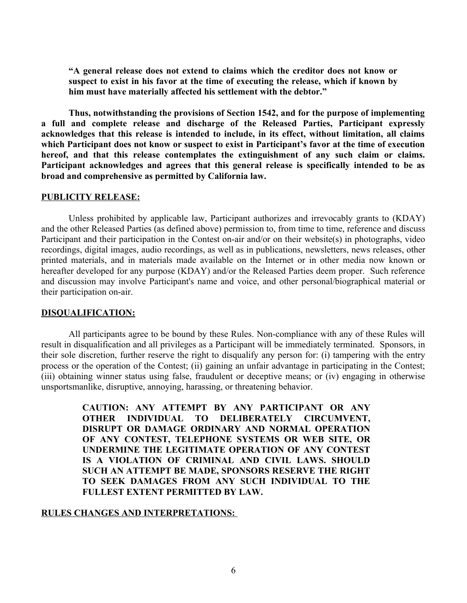**"A general release does not extend to claims which the creditor does not know or suspect to exist in his favor at the time of executing the release, which if known by him must have materially affected his settlement with the debtor."**

**Thus, notwithstanding the provisions of Section 1542, and for the purpose of implementing a full and complete release and discharge of the Released Parties, Participant expressly acknowledges that this release is intended to include, in its effect, without limitation, all claims which Participant does not know or suspect to exist in Participant's favor at the time of execution hereof, and that this release contemplates the extinguishment of any such claim or claims. Participant acknowledges and agrees that this general release is specifically intended to be as broad and comprehensive as permitted by California law.**

### **PUBLICITY RELEASE:**

Unless prohibited by applicable law, Participant authorizes and irrevocably grants to (KDAY) and the other Released Parties (as defined above) permission to, from time to time, reference and discuss Participant and their participation in the Contest on-air and/or on their website(s) in photographs, video recordings, digital images, audio recordings, as well as in publications, newsletters, news releases, other printed materials, and in materials made available on the Internet or in other media now known or hereafter developed for any purpose (KDAY) and/or the Released Parties deem proper. Such reference and discussion may involve Participant's name and voice, and other personal/biographical material or their participation on-air.

#### **DISQUALIFICATION:**

All participants agree to be bound by these Rules. Non-compliance with any of these Rules will result in disqualification and all privileges as a Participant will be immediately terminated. Sponsors, in their sole discretion, further reserve the right to disqualify any person for: (i) tampering with the entry process or the operation of the Contest; (ii) gaining an unfair advantage in participating in the Contest; (iii) obtaining winner status using false, fraudulent or deceptive means; or (iv) engaging in otherwise unsportsmanlike, disruptive, annoying, harassing, or threatening behavior.

> **CAUTION: ANY ATTEMPT BY ANY PARTICIPANT OR ANY OTHER INDIVIDUAL TO DELIBERATELY CIRCUMVENT, DISRUPT OR DAMAGE ORDINARY AND NORMAL OPERATION OF ANY CONTEST, TELEPHONE SYSTEMS OR WEB SITE, OR UNDERMINE THE LEGITIMATE OPERATION OF ANY CONTEST IS A VIOLATION OF CRIMINAL AND CIVIL LAWS. SHOULD SUCH AN ATTEMPT BE MADE, SPONSORS RESERVE THE RIGHT TO SEEK DAMAGES FROM ANY SUCH INDIVIDUAL TO THE FULLEST EXTENT PERMITTED BY LAW.**

## **RULES CHANGES AND INTERPRETATIONS:**